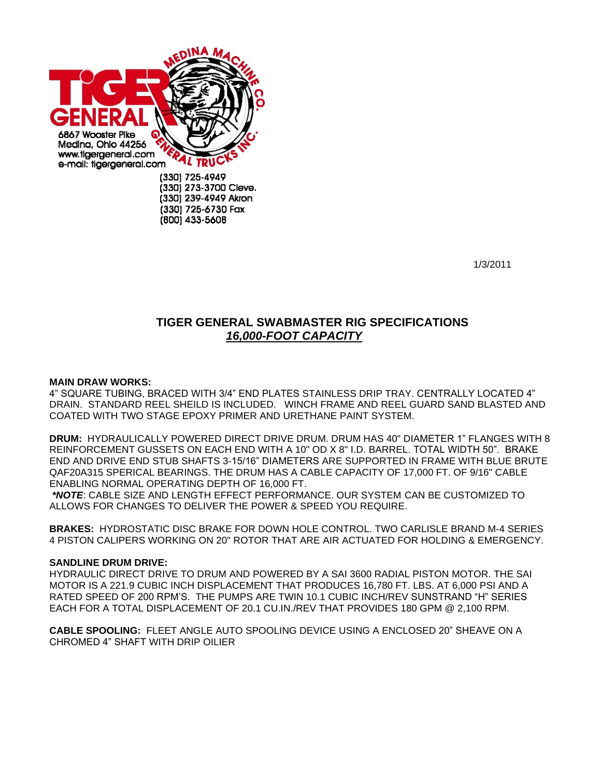

1/3/2011

## **TIGER GENERAL SWABMASTER RIG SPECIFICATIONS**  *16,000-FOOT CAPACITY*

## **MAIN DRAW WORKS:**

4" SQUARE TUBING, BRACED WITH 3/4" END PLATES STAINLESS DRIP TRAY. CENTRALLY LOCATED 4" DRAIN. STANDARD REEL SHEILD IS INCLUDED. WINCH FRAME AND REEL GUARD SAND BLASTED AND COATED WITH TWO STAGE EPOXY PRIMER AND URETHANE PAINT SYSTEM.

**DRUM:** HYDRAULICALLY POWERED DIRECT DRIVE DRUM. DRUM HAS 40" DIAMETER 1" FLANGES WITH 8 REINFORCEMENT GUSSETS ON EACH END WITH A 10" OD X 8" I.D. BARREL. TOTAL WIDTH 50". BRAKE END AND DRIVE END STUB SHAFTS 3-15/16" DIAMETERS ARE SUPPORTED IN FRAME WITH BLUE BRUTE QAF20A315 SPERICAL BEARINGS. THE DRUM HAS A CABLE CAPACITY OF 17,000 FT. OF 9/16" CABLE ENABLING NORMAL OPERATING DEPTH OF 16,000 FT.

*\*NOTE*: CABLE SIZE AND LENGTH EFFECT PERFORMANCE. OUR SYSTEM CAN BE CUSTOMIZED TO ALLOWS FOR CHANGES TO DELIVER THE POWER & SPEED YOU REQUIRE.

**BRAKES:** HYDROSTATIC DISC BRAKE FOR DOWN HOLE CONTROL. TWO CARLISLE BRAND M-4 SERIES 4 PISTON CALIPERS WORKING ON 20" ROTOR THAT ARE AIR ACTUATED FOR HOLDING & EMERGENCY.

## **SANDLINE DRUM DRIVE:**

HYDRAULIC DIRECT DRIVE TO DRUM AND POWERED BY A SAI 3600 RADIAL PISTON MOTOR. THE SAI MOTOR IS A 221.9 CUBIC INCH DISPLACEMENT THAT PRODUCES 16,780 FT. LBS. AT 6,000 PSI AND A RATED SPEED OF 200 RPM'S. THE PUMPS ARE TWIN 10.1 CUBIC INCH/REV SUNSTRAND "H" SERIES EACH FOR A TOTAL DISPLACEMENT OF 20.1 CU.IN./REV THAT PROVIDES 180 GPM @ 2,100 RPM.

**CABLE SPOOLING:** FLEET ANGLE AUTO SPOOLING DEVICE USING A ENCLOSED 20" SHEAVE ON A CHROMED 4" SHAFT WITH DRIP OILIER